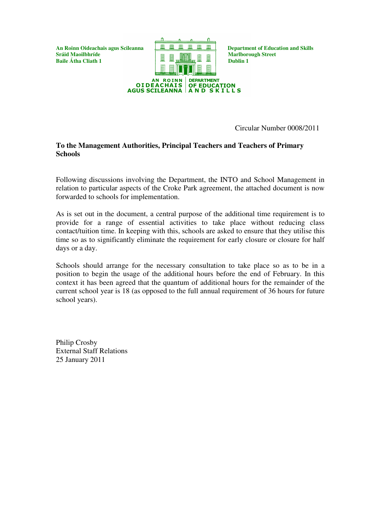**Baile Átha Cliath 1** 



Circular Number 0008/2011

## **To the Management Authorities, Principal Teachers and Teachers of Primary Schools**

Following discussions involving the Department, the INTO and School Management in relation to particular aspects of the Croke Park agreement, the attached document is now forwarded to schools for implementation.

As is set out in the document, a central purpose of the additional time requirement is to provide for a range of essential activities to take place without reducing class contact/tuition time. In keeping with this, schools are asked to ensure that they utilise this time so as to significantly eliminate the requirement for early closure or closure for half days or a day.

Schools should arrange for the necessary consultation to take place so as to be in a position to begin the usage of the additional hours before the end of February. In this context it has been agreed that the quantum of additional hours for the remainder of the current school year is 18 (as opposed to the full annual requirement of 36 hours for future school years).

Philip Crosby External Staff Relations 25 January 2011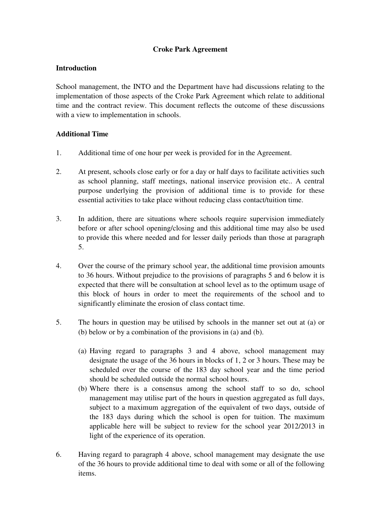# **Croke Park Agreement**

## **Introduction**

School management, the INTO and the Department have had discussions relating to the implementation of those aspects of the Croke Park Agreement which relate to additional time and the contract review. This document reflects the outcome of these discussions with a view to implementation in schools.

## **Additional Time**

- 1. Additional time of one hour per week is provided for in the Agreement.
- 2. At present, schools close early or for a day or half days to facilitate activities such as school planning, staff meetings, national inservice provision etc.. A central purpose underlying the provision of additional time is to provide for these essential activities to take place without reducing class contact/tuition time.
- 3. In addition, there are situations where schools require supervision immediately before or after school opening/closing and this additional time may also be used to provide this where needed and for lesser daily periods than those at paragraph 5.
- 4. Over the course of the primary school year, the additional time provision amounts to 36 hours. Without prejudice to the provisions of paragraphs 5 and 6 below it is expected that there will be consultation at school level as to the optimum usage of this block of hours in order to meet the requirements of the school and to significantly eliminate the erosion of class contact time.
- 5. The hours in question may be utilised by schools in the manner set out at (a) or (b) below or by a combination of the provisions in (a) and (b).
	- (a) Having regard to paragraphs 3 and 4 above, school management may designate the usage of the 36 hours in blocks of 1, 2 or 3 hours. These may be scheduled over the course of the 183 day school year and the time period should be scheduled outside the normal school hours.
	- (b) Where there is a consensus among the school staff to so do, school management may utilise part of the hours in question aggregated as full days, subject to a maximum aggregation of the equivalent of two days, outside of the 183 days during which the school is open for tuition. The maximum applicable here will be subject to review for the school year 2012/2013 in light of the experience of its operation.
- 6. Having regard to paragraph 4 above, school management may designate the use of the 36 hours to provide additional time to deal with some or all of the following items.